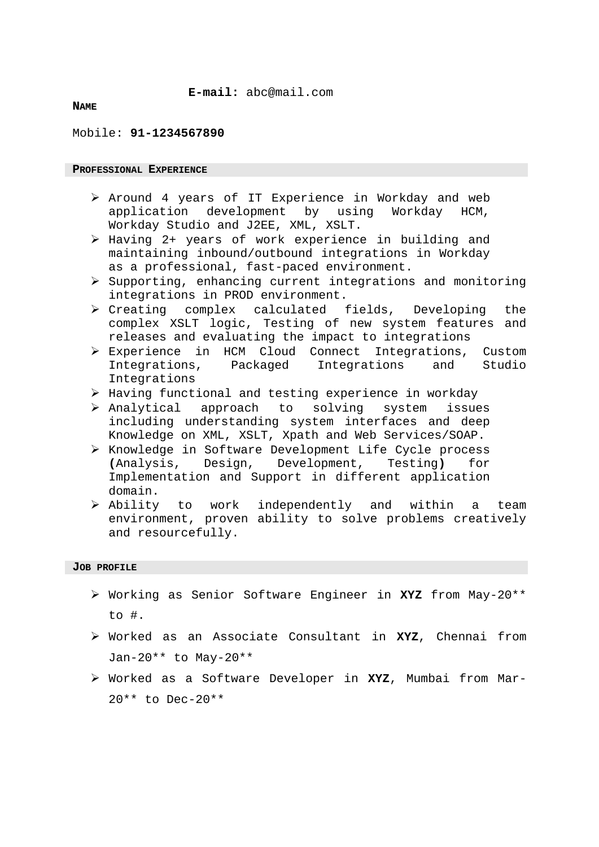### **E-mail:** [abc@mail.com](mailto:abc@mail.com)

#### **NAME**

#### Mobile: **91-1234567890**

#### **PROFESSIONAL EXPERIENCE**

- $\triangleright$  Around 4 years of IT Experience in Workday and web application development by using Workday HCM, Workday Studio and J2EE, XML, XSLT.
- $\triangleright$  Having 2+ years of work experience in building and maintaining inbound/outbound integrations in Workday as a professional, fast-paced environment.
- $\geq$  Supporting, enhancing current integrations and monitoring integrations in PROD environment.
- $\triangleright$  Creating complex calculated fields, Developing the complex XSLT logic, Testing of new system features and releases and evaluating the impact to integrations
- Experience in HCM Cloud Connect Integrations, Custom Integrations, Packaged Integrations and Studio Integrations
- $\triangleright$  Having functional and testing experience in workday
- Analytical approach to solving system issues including understanding system interfaces and deep Knowledge on XML, XSLT, Xpath and Web Services/SOAP.
- ▶ Knowledge in Software Development Life Cycle process **(**Analysis, Design, Development, Testing**)** for Implementation and Support in different application domain.
- Ability to work independently and within a team environment, proven ability to solve problems creatively and resourcefully.

#### **JOB PROFILE**

- Working as Senior Software Engineer in **XYZ** from May-20\*\*  $\overline{10}$  #.
- Worked as an Associate Consultant in **XYZ**, Chennai from Jan-20\*\* to May-20\*\*
- Worked as a Software Developer in **XYZ**, Mumbai from Mar-20\*\* to Dec-20\*\*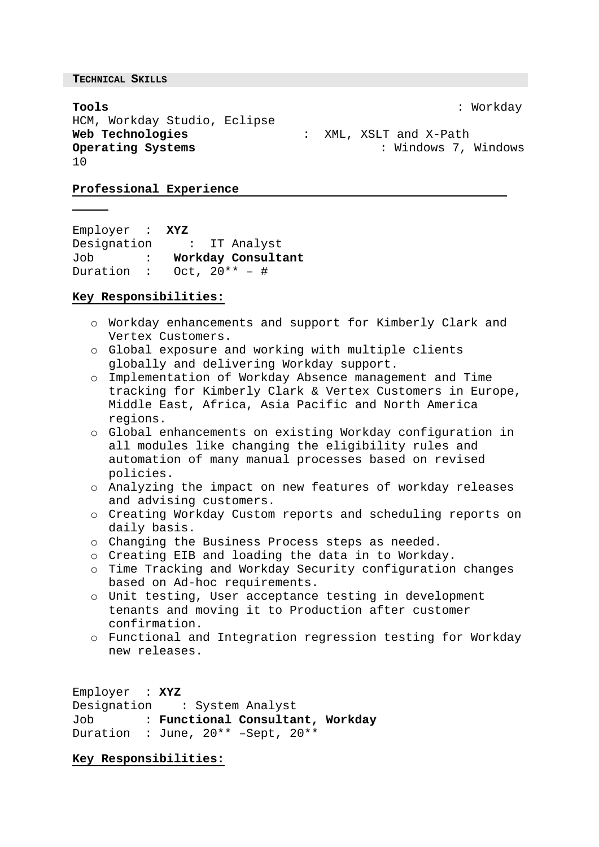**TECHNICAL SKILLS**

**Tools** : Workday HCM, Workday Studio, Eclipse **Web Technologies** : XML, XSLT and X-Path 10

**Operating Systems** : Windows 7, Windows

## **Professional Experience**

Employer : **XYZ**  Designation Job : **Workday Consultant** Duration : Oct,  $20^{**}$  – #

## **Key Responsibilities:**

- o Workday enhancements and support for Kimberly Clark and Vertex Customers.
- o Global exposure and working with multiple clients globally and delivering Workday support.
- o Implementation of Workday Absence management and Time tracking for Kimberly Clark & Vertex Customers in Europe, Middle East, Africa, Asia Pacific and North America regions.
- $\circ$  Global enhancements on existing Workday configuration in all modules like changing the eligibility rules and automation of many manual processes based on revised policies.
- o Analyzing the impact on new features of workday releases and advising customers.
- o Creating Workday Custom reports and scheduling reports on daily basis.
- o Changing the Business Process steps as needed.
- o Creating EIB and loading the data in to Workday.
- o Time Tracking and Workday Security configuration changes based on Ad-hoc requirements.
- o Unit testing, User acceptance testing in development tenants and moving it to Production after customer confirmation.
- o Functional and Integration regression testing for Workday new releases.

Employer : **XYZ** Designation : System Analyst Job : **Functional Consultant, Workday** Duration : June, 20\*\* –Sept, 20\*\*

## **Key Responsibilities:**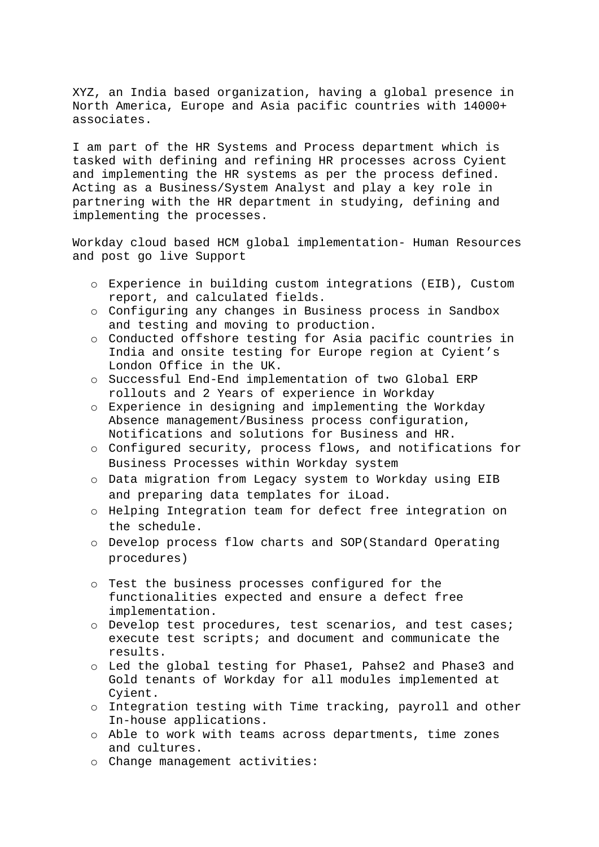XYZ, an India based organization, having a global presence in North America, Europe and Asia pacific countries with 14000+ associates.

I am part of the HR Systems and Process department which is tasked with defining and refining HR processes across Cyient and implementing the HR systems as per the process defined. Acting as a Business/System Analyst and play a key role in partnering with the HR department in studying, defining and implementing the processes.

Workday cloud based HCM global implementation- Human Resources and post go live Support

- o Experience in building custom integrations (EIB), Custom report, and calculated fields.
- o Configuring any changes in Business process in Sandbox and testing and moving to production.
- o Conducted offshore testing for Asia pacific countries in India and onsite testing for Europe region at Cyient's London Office in the UK.
- o Successful End-End implementation of two Global ERP rollouts and 2 Years of experience in Workday
- o Experience in designing and implementing the Workday Absence management/Business process configuration, Notifications and solutions for Business and HR.
- o Configured security, process flows, and notifications for Business Processes within Workday system
- o Data migration from Legacy system to Workday using EIB and preparing data templates for iLoad.
- $\circ$  Helping Integration team for defect free integration on the schedule.
- o Develop process flow charts and SOP(Standard Operating procedures)
- o Test the business processes configured for the functionalities expected and ensure a defect free implementation.
- o Develop test procedures, test scenarios, and test cases; execute test scripts; and document and communicate the results.
- o Led the global testing for Phase1, Pahse2 and Phase3 and Gold tenants of Workday for all modules implemented at Cyient.
- o Integration testing with Time tracking, payroll and other In-house applications.
- o Able to work with teams across departments, time zones and cultures.
- o Change management activities: